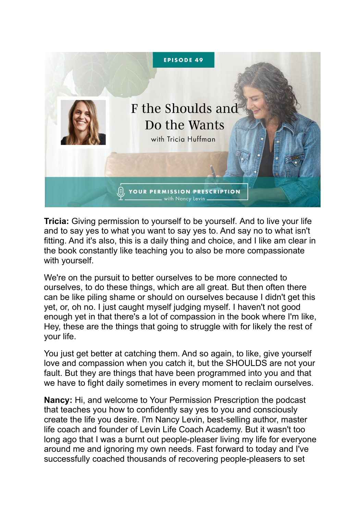

**Tricia:** Giving permission to yourself to be yourself. And to live your life and to say yes to what you want to say yes to. And say no to what isn't fitting. And it's also, this is a daily thing and choice, and I like am clear in the book constantly like teaching you to also be more compassionate with yourself.

We're on the pursuit to better ourselves to be more connected to ourselves, to do these things, which are all great. But then often there can be like piling shame or should on ourselves because I didn't get this yet, or, oh no. I just caught myself judging myself. I haven't not good enough yet in that there's a lot of compassion in the book where I'm like, Hey, these are the things that going to struggle with for likely the rest of your life.

You just get better at catching them. And so again, to like, give yourself love and compassion when you catch it, but the SHOULDS are not your fault. But they are things that have been programmed into you and that we have to fight daily sometimes in every moment to reclaim ourselves.

**Nancy:** Hi, and welcome to Your Permission Prescription the podcast that teaches you how to confidently say yes to you and consciously create the life you desire. I'm Nancy Levin, best-selling author, master life coach and founder of Levin Life Coach Academy. But it wasn't too long ago that I was a burnt out people-pleaser living my life for everyone around me and ignoring my own needs. Fast forward to today and I've successfully coached thousands of recovering people-pleasers to set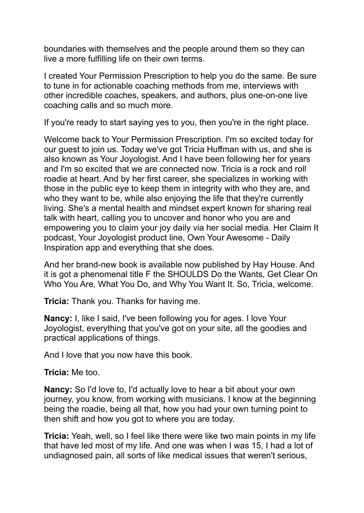boundaries with themselves and the people around them so they can live a more fulfilling life on their own terms.

I created Your Permission Prescription to help you do the same. Be sure to tune in for actionable coaching methods from me, interviews with other incredible coaches, speakers, and authors, plus one-on-one live coaching calls and so much more.

If you're ready to start saying yes to you, then you're in the right place.

Welcome back to Your Permission Prescription. I'm so excited today for our guest to join us. Today we've got Tricia Huffman with us, and she is also known as Your Joyologist. And I have been following her for years and I'm so excited that we are connected now. Tricia is a rock and roll roadie at heart. And by her first career, she specializes in working with those in the public eye to keep them in integrity with who they are, and who they want to be, while also enjoying the life that they're currently living. She's a mental health and mindset expert known for sharing real talk with heart, calling you to uncover and honor who you are and empowering you to claim your joy daily via her social media. Her Claim It podcast, Your Joyologist product line, Own Your Awesome - Daily Inspiration app and everything that she does.

And her brand-new book is available now published by Hay House. And it is got a phenomenal title F the SHOULDS Do the Wants, Get Clear On Who You Are, What You Do, and Why You Want It. So, Tricia, welcome.

**Tricia:** Thank you. Thanks for having me.

**Nancy:** I, like I said, I've been following you for ages. I love Your Joyologist, everything that you've got on your site, all the goodies and practical applications of things.

And I love that you now have this book.

**Tricia:** Me too.

**Nancy:** So I'd love to, I'd actually love to hear a bit about your own journey, you know, from working with musicians. I know at the beginning being the roadie, being all that, how you had your own turning point to then shift and how you got to where you are today.

**Tricia:** Yeah, well, so I feel like there were like two main points in my life that have led most of my life. And one was when I was 15, I had a lot of undiagnosed pain, all sorts of like medical issues that weren't serious,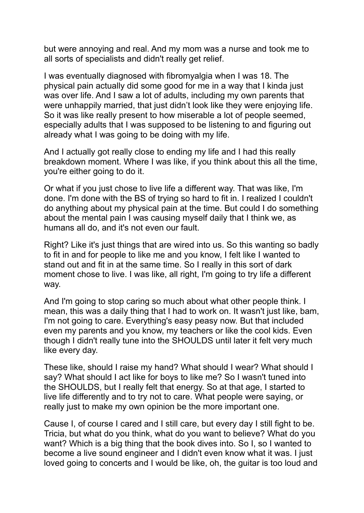but were annoying and real. And my mom was a nurse and took me to all sorts of specialists and didn't really get relief.

I was eventually diagnosed with fibromyalgia when I was 18. The physical pain actually did some good for me in a way that I kinda just was over life. And I saw a lot of adults, including my own parents that were unhappily married, that just didn't look like they were enjoying life. So it was like really present to how miserable a lot of people seemed, especially adults that I was supposed to be listening to and figuring out already what I was going to be doing with my life.

And I actually got really close to ending my life and I had this really breakdown moment. Where I was like, if you think about this all the time, you're either going to do it.

Or what if you just chose to live life a different way. That was like, I'm done. I'm done with the BS of trying so hard to fit in. I realized I couldn't do anything about my physical pain at the time. But could I do something about the mental pain I was causing myself daily that I think we, as humans all do, and it's not even our fault.

Right? Like it's just things that are wired into us. So this wanting so badly to fit in and for people to like me and you know, I felt like I wanted to stand out and fit in at the same time. So I really in this sort of dark moment chose to live. I was like, all right, I'm going to try life a different way.

And I'm going to stop caring so much about what other people think. I mean, this was a daily thing that I had to work on. It wasn't just like, bam, I'm not going to care. Everything's easy peasy now. But that included even my parents and you know, my teachers or like the cool kids. Even though I didn't really tune into the SHOULDS until later it felt very much like every day.

These like, should I raise my hand? What should I wear? What should I say? What should I act like for boys to like me? So I wasn't tuned into the SHOULDS, but I really felt that energy. So at that age, I started to live life differently and to try not to care. What people were saying, or really just to make my own opinion be the more important one.

Cause I, of course I cared and I still care, but every day I still fight to be. Tricia, but what do you think, what do you want to believe? What do you want? Which is a big thing that the book dives into. So I, so I wanted to become a live sound engineer and I didn't even know what it was. I just loved going to concerts and I would be like, oh, the guitar is too loud and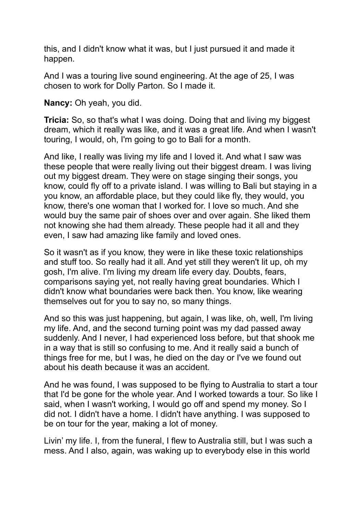this, and I didn't know what it was, but I just pursued it and made it happen.

And I was a touring live sound engineering. At the age of 25, I was chosen to work for Dolly Parton. So I made it.

**Nancy:** Oh yeah, you did.

**Tricia:** So, so that's what I was doing. Doing that and living my biggest dream, which it really was like, and it was a great life. And when I wasn't touring, I would, oh, I'm going to go to Bali for a month.

And like, I really was living my life and I loved it. And what I saw was these people that were really living out their biggest dream. I was living out my biggest dream. They were on stage singing their songs, you know, could fly off to a private island. I was willing to Bali but staying in a you know, an affordable place, but they could like fly, they would, you know, there's one woman that I worked for. I love so much. And she would buy the same pair of shoes over and over again. She liked them not knowing she had them already. These people had it all and they even, I saw had amazing like family and loved ones.

So it wasn't as if you know, they were in like these toxic relationships and stuff too. So really had it all. And yet still they weren't lit up, oh my gosh, I'm alive. I'm living my dream life every day. Doubts, fears, comparisons saying yet, not really having great boundaries. Which I didn't know what boundaries were back then. You know, like wearing themselves out for you to say no, so many things.

And so this was just happening, but again, I was like, oh, well, I'm living my life. And, and the second turning point was my dad passed away suddenly. And I never, I had experienced loss before, but that shook me in a way that is still so confusing to me. And it really said a bunch of things free for me, but I was, he died on the day or I've we found out about his death because it was an accident.

And he was found, I was supposed to be flying to Australia to start a tour that I'd be gone for the whole year. And I worked towards a tour. So like I said, when I wasn't working, I would go off and spend my money. So I did not. I didn't have a home. I didn't have anything. I was supposed to be on tour for the year, making a lot of money.

Livin' my life. I, from the funeral, I flew to Australia still, but I was such a mess. And I also, again, was waking up to everybody else in this world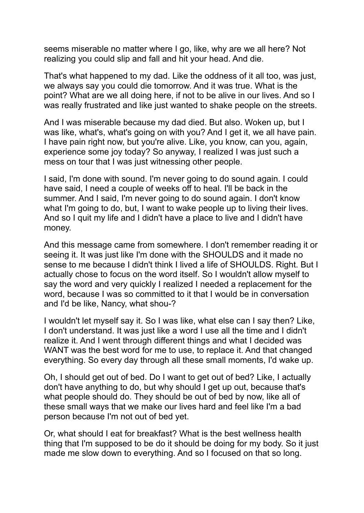seems miserable no matter where I go, like, why are we all here? Not realizing you could slip and fall and hit your head. And die.

That's what happened to my dad. Like the oddness of it all too, was just, we always say you could die tomorrow. And it was true. What is the point? What are we all doing here, if not to be alive in our lives. And so I was really frustrated and like just wanted to shake people on the streets.

And I was miserable because my dad died. But also. Woken up, but I was like, what's, what's going on with you? And I get it, we all have pain. I have pain right now, but you're alive. Like, you know, can you, again, experience some joy today? So anyway, I realized I was just such a mess on tour that I was just witnessing other people.

I said, I'm done with sound. I'm never going to do sound again. I could have said, I need a couple of weeks off to heal. I'll be back in the summer. And I said, I'm never going to do sound again. I don't know what I'm going to do, but, I want to wake people up to living their lives. And so I quit my life and I didn't have a place to live and I didn't have money.

And this message came from somewhere. I don't remember reading it or seeing it. It was just like I'm done with the SHOULDS and it made no sense to me because I didn't think I lived a life of SHOULDS. Right. But I actually chose to focus on the word itself. So I wouldn't allow myself to say the word and very quickly I realized I needed a replacement for the word, because I was so committed to it that I would be in conversation and I'd be like, Nancy, what shou-?

I wouldn't let myself say it. So I was like, what else can I say then? Like, I don't understand. It was just like a word I use all the time and I didn't realize it. And I went through different things and what I decided was WANT was the best word for me to use, to replace it. And that changed everything. So every day through all these small moments, I'd wake up.

Oh, I should get out of bed. Do I want to get out of bed? Like, I actually don't have anything to do, but why should I get up out, because that's what people should do. They should be out of bed by now, like all of these small ways that we make our lives hard and feel like I'm a bad person because I'm not out of bed yet.

Or, what should I eat for breakfast? What is the best wellness health thing that I'm supposed to be do it should be doing for my body. So it just made me slow down to everything. And so I focused on that so long.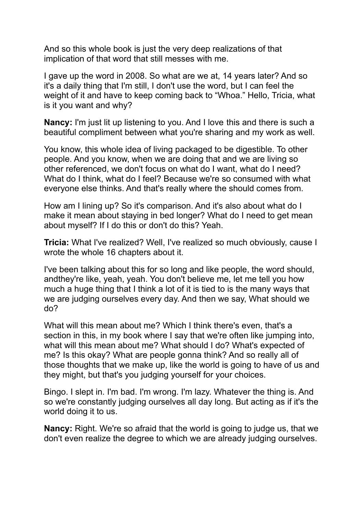And so this whole book is just the very deep realizations of that implication of that word that still messes with me.

I gave up the word in 2008. So what are we at, 14 years later? And so it's a daily thing that I'm still, I don't use the word, but I can feel the weight of it and have to keep coming back to "Whoa." Hello, Tricia, what is it you want and why?

**Nancy:** I'm just lit up listening to you. And I love this and there is such a beautiful compliment between what you're sharing and my work as well.

You know, this whole idea of living packaged to be digestible. To other people. And you know, when we are doing that and we are living so other referenced, we don't focus on what do I want, what do I need? What do I think, what do I feel? Because we're so consumed with what everyone else thinks. And that's really where the should comes from.

How am I lining up? So it's comparison. And it's also about what do I make it mean about staying in bed longer? What do I need to get mean about myself? If I do this or don't do this? Yeah.

**Tricia:** What I've realized? Well, I've realized so much obviously, cause I wrote the whole 16 chapters about it.

I've been talking about this for so long and like people, the word should, andthey're like, yeah, yeah. You don't believe me, let me tell you how much a huge thing that I think a lot of it is tied to is the many ways that we are judging ourselves every day. And then we say, What should we do?

What will this mean about me? Which I think there's even, that's a section in this, in my book where I say that we're often like jumping into, what will this mean about me? What should I do? What's expected of me? Is this okay? What are people gonna think? And so really all of those thoughts that we make up, like the world is going to have of us and they might, but that's you judging yourself for your choices.

Bingo. I slept in. I'm bad. I'm wrong. I'm lazy. Whatever the thing is. And so we're constantly judging ourselves all day long. But acting as if it's the world doing it to us.

**Nancy:** Right. We're so afraid that the world is going to judge us, that we don't even realize the degree to which we are already judging ourselves.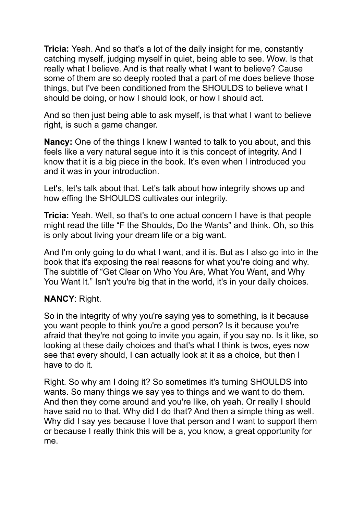**Tricia:** Yeah. And so that's a lot of the daily insight for me, constantly catching myself, judging myself in quiet, being able to see. Wow. Is that really what I believe. And is that really what I want to believe? Cause some of them are so deeply rooted that a part of me does believe those things, but I've been conditioned from the SHOULDS to believe what I should be doing, or how I should look, or how I should act.

And so then just being able to ask myself, is that what I want to believe right, is such a game changer.

**Nancy:** One of the things I knew I wanted to talk to you about, and this feels like a very natural segue into it is this concept of integrity. And I know that it is a big piece in the book. It's even when I introduced you and it was in your introduction.

Let's, let's talk about that. Let's talk about how integrity shows up and how effing the SHOULDS cultivates our integrity.

**Tricia:** Yeah. Well, so that's to one actual concern I have is that people might read the title "F the Shoulds, Do the Wants" and think. Oh, so this is only about living your dream life or a big want.

And I'm only going to do what I want, and it is. But as I also go into in the book that it's exposing the real reasons for what you're doing and why. The subtitle of "Get Clear on Who You Are, What You Want, and Why You Want It." Isn't you're big that in the world, it's in your daily choices.

## **NANCY**: Right.

So in the integrity of why you're saying yes to something, is it because you want people to think you're a good person? Is it because you're afraid that they're not going to invite you again, if you say no. Is it like, so looking at these daily choices and that's what I think is twos, eyes now see that every should, I can actually look at it as a choice, but then I have to do it.

Right. So why am I doing it? So sometimes it's turning SHOULDS into wants. So many things we say yes to things and we want to do them. And then they come around and you're like, oh yeah. Or really I should have said no to that. Why did I do that? And then a simple thing as well. Why did I say yes because I love that person and I want to support them or because I really think this will be a, you know, a great opportunity for me.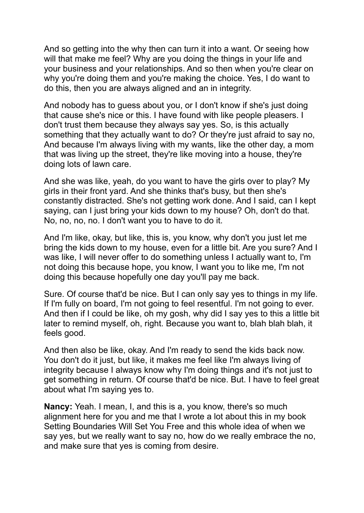And so getting into the why then can turn it into a want. Or seeing how will that make me feel? Why are you doing the things in your life and your business and your relationships. And so then when you're clear on why you're doing them and you're making the choice. Yes, I do want to do this, then you are always aligned and an in integrity.

And nobody has to guess about you, or I don't know if she's just doing that cause she's nice or this. I have found with like people pleasers. I don't trust them because they always say yes. So, is this actually something that they actually want to do? Or they're just afraid to say no, And because I'm always living with my wants, like the other day, a mom that was living up the street, they're like moving into a house, they're doing lots of lawn care.

And she was like, yeah, do you want to have the girls over to play? My girls in their front yard. And she thinks that's busy, but then she's constantly distracted. She's not getting work done. And I said, can I kept saying, can I just bring your kids down to my house? Oh, don't do that. No, no, no, no. I don't want you to have to do it.

And I'm like, okay, but like, this is, you know, why don't you just let me bring the kids down to my house, even for a little bit. Are you sure? And I was like, I will never offer to do something unless I actually want to, I'm not doing this because hope, you know, I want you to like me, I'm not doing this because hopefully one day you'll pay me back.

Sure. Of course that'd be nice. But I can only say yes to things in my life. If I'm fully on board, I'm not going to feel resentful. I'm not going to ever. And then if I could be like, oh my gosh, why did I say yes to this a little bit later to remind myself, oh, right. Because you want to, blah blah blah, it feels good.

And then also be like, okay. And I'm ready to send the kids back now. You don't do it just, but like, it makes me feel like I'm always living of integrity because I always know why I'm doing things and it's not just to get something in return. Of course that'd be nice. But. I have to feel great about what I'm saying yes to.

**Nancy:** Yeah. I mean, I, and this is a, you know, there's so much alignment here for you and me that I wrote a lot about this in my book Setting Boundaries Will Set You Free and this whole idea of when we say yes, but we really want to say no, how do we really embrace the no, and make sure that yes is coming from desire.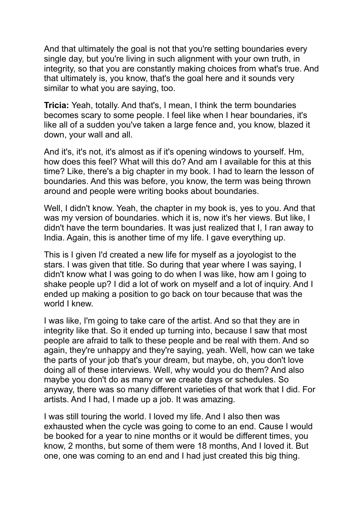And that ultimately the goal is not that you're setting boundaries every single day, but you're living in such alignment with your own truth, in integrity, so that you are constantly making choices from what's true. And that ultimately is, you know, that's the goal here and it sounds very similar to what you are saying, too.

**Tricia:** Yeah, totally. And that's, I mean, I think the term boundaries becomes scary to some people. I feel like when I hear boundaries, it's like all of a sudden you've taken a large fence and, you know, blazed it down, your wall and all.

And it's, it's not, it's almost as if it's opening windows to yourself. Hm, how does this feel? What will this do? And am I available for this at this time? Like, there's a big chapter in my book. I had to learn the lesson of boundaries. And this was before, you know, the term was being thrown around and people were writing books about boundaries.

Well, I didn't know. Yeah, the chapter in my book is, yes to you. And that was my version of boundaries. which it is, now it's her views. But like, I didn't have the term boundaries. It was just realized that I, I ran away to India. Again, this is another time of my life. I gave everything up.

This is I given I'd created a new life for myself as a joyologist to the stars. I was given that title. So during that year where I was saying, I didn't know what I was going to do when I was like, how am I going to shake people up? I did a lot of work on myself and a lot of inquiry. And I ended up making a position to go back on tour because that was the world I knew.

I was like, I'm going to take care of the artist. And so that they are in integrity like that. So it ended up turning into, because I saw that most people are afraid to talk to these people and be real with them. And so again, they're unhappy and they're saying, yeah. Well, how can we take the parts of your job that's your dream, but maybe, oh, you don't love doing all of these interviews. Well, why would you do them? And also maybe you don't do as many or we create days or schedules. So anyway, there was so many different varieties of that work that I did. For artists. And I had, I made up a job. It was amazing.

I was still touring the world. I loved my life. And I also then was exhausted when the cycle was going to come to an end. Cause I would be booked for a year to nine months or it would be different times, you know, 2 months, but some of them were 18 months, And I loved it. But one, one was coming to an end and I had just created this big thing.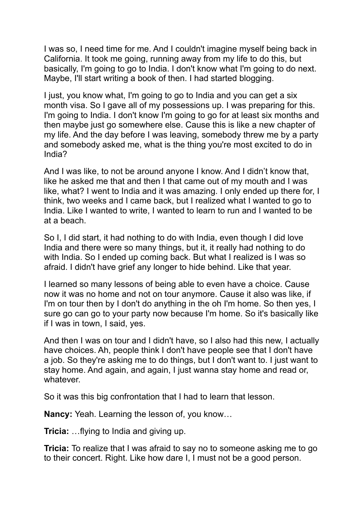I was so, I need time for me. And I couldn't imagine myself being back in California. It took me going, running away from my life to do this, but basically, I'm going to go to India. I don't know what I'm going to do next. Maybe, I'll start writing a book of then. I had started blogging.

I just, you know what, I'm going to go to India and you can get a six month visa. So I gave all of my possessions up. I was preparing for this. I'm going to India. I don't know I'm going to go for at least six months and then maybe just go somewhere else. Cause this is like a new chapter of my life. And the day before I was leaving, somebody threw me by a party and somebody asked me, what is the thing you're most excited to do in India?

And I was like, to not be around anyone I know. And I didn't know that, like he asked me that and then I that came out of my mouth and I was like, what? I went to India and it was amazing. I only ended up there for, I think, two weeks and I came back, but I realized what I wanted to go to India. Like I wanted to write, I wanted to learn to run and I wanted to be at a beach.

So I, I did start, it had nothing to do with India, even though I did love India and there were so many things, but it, it really had nothing to do with India. So I ended up coming back. But what I realized is I was so afraid. I didn't have grief any longer to hide behind. Like that year.

I learned so many lessons of being able to even have a choice. Cause now it was no home and not on tour anymore. Cause it also was like, if I'm on tour then by I don't do anything in the oh I'm home. So then yes, I sure go can go to your party now because I'm home. So it's basically like if I was in town, I said, yes.

And then I was on tour and I didn't have, so I also had this new, I actually have choices. Ah, people think I don't have people see that I don't have a job. So they're asking me to do things, but I don't want to. I just want to stay home. And again, and again, I just wanna stay home and read or, whatever.

So it was this big confrontation that I had to learn that lesson.

**Nancy:** Yeah. Learning the lesson of, you know…

**Tricia:** …flying to India and giving up.

**Tricia:** To realize that I was afraid to say no to someone asking me to go to their concert. Right. Like how dare I, I must not be a good person.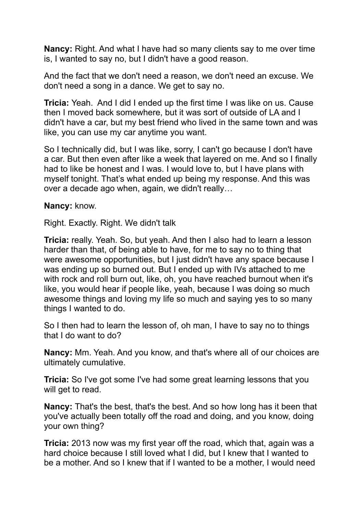**Nancy:** Right. And what I have had so many clients say to me over time is, I wanted to say no, but I didn't have a good reason.

And the fact that we don't need a reason, we don't need an excuse. We don't need a song in a dance. We get to say no.

**Tricia:** Yeah. And I did I ended up the first time I was like on us. Cause then I moved back somewhere, but it was sort of outside of LA and I didn't have a car, but my best friend who lived in the same town and was like, you can use my car anytime you want.

So I technically did, but I was like, sorry, I can't go because I don't have a car. But then even after like a week that layered on me. And so I finally had to like be honest and I was. I would love to, but I have plans with myself tonight. That's what ended up being my response. And this was over a decade ago when, again, we didn't really…

**Nancy:** know.

Right. Exactly. Right. We didn't talk

**Tricia:** really. Yeah. So, but yeah. And then I also had to learn a lesson harder than that, of being able to have, for me to say no to thing that were awesome opportunities, but I just didn't have any space because I was ending up so burned out. But I ended up with IVs attached to me with rock and roll burn out, like, oh, you have reached burnout when it's like, you would hear if people like, yeah, because I was doing so much awesome things and loving my life so much and saying yes to so many things I wanted to do.

So I then had to learn the lesson of, oh man, I have to say no to things that I do want to do?

**Nancy:** Mm. Yeah. And you know, and that's where all of our choices are ultimately cumulative.

**Tricia:** So I've got some I've had some great learning lessons that you will get to read.

**Nancy:** That's the best, that's the best. And so how long has it been that you've actually been totally off the road and doing, and you know, doing your own thing?

**Tricia:** 2013 now was my first year off the road, which that, again was a hard choice because I still loved what I did, but I knew that I wanted to be a mother. And so I knew that if I wanted to be a mother, I would need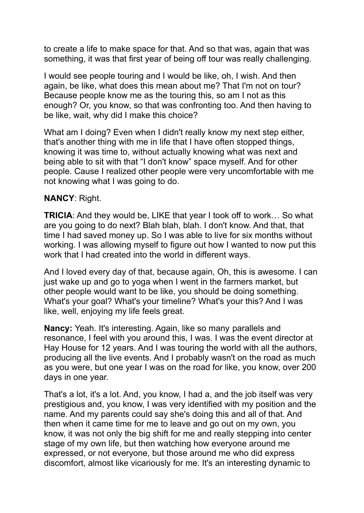to create a life to make space for that. And so that was, again that was something, it was that first year of being off tour was really challenging.

I would see people touring and I would be like, oh, I wish. And then again, be like, what does this mean about me? That I'm not on tour? Because people know me as the touring this, so am I not as this enough? Or, you know, so that was confronting too. And then having to be like, wait, why did I make this choice?

What am I doing? Even when I didn't really know my next step either, that's another thing with me in life that I have often stopped things, knowing it was time to, without actually knowing what was next and being able to sit with that "I don't know" space myself. And for other people. Cause I realized other people were very uncomfortable with me not knowing what I was going to do.

## **NANCY**: Right.

**TRICIA**: And they would be, LIKE that year I took off to work… So what are you going to do next? Blah blah, blah. I don't know. And that, that time I had saved money up. So I was able to live for six months without working. I was allowing myself to figure out how I wanted to now put this work that I had created into the world in different ways.

And I loved every day of that, because again, Oh, this is awesome. I can just wake up and go to yoga when I went in the farmers market, but other people would want to be like, you should be doing something. What's your goal? What's your timeline? What's your this? And I was like, well, enjoying my life feels great.

**Nancy:** Yeah. It's interesting. Again, like so many parallels and resonance, I feel with you around this, I was. I was the event director at Hay House for 12 years. And I was touring the world with all the authors, producing all the live events. And I probably wasn't on the road as much as you were, but one year I was on the road for like, you know, over 200 days in one year.

That's a lot, it's a lot. And, you know, I had a, and the job itself was very prestigious and, you know, I was very identified with my position and the name. And my parents could say she's doing this and all of that. And then when it came time for me to leave and go out on my own, you know, it was not only the big shift for me and really stepping into center stage of my own life, but then watching how everyone around me expressed, or not everyone, but those around me who did express discomfort, almost like vicariously for me. It's an interesting dynamic to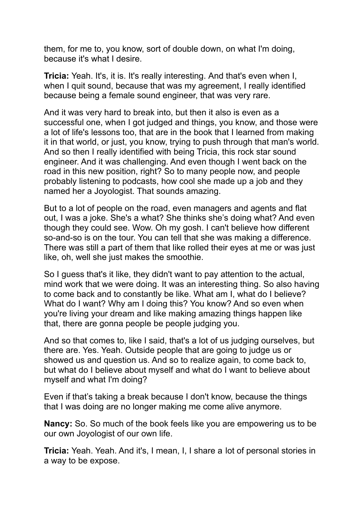them, for me to, you know, sort of double down, on what I'm doing, because it's what I desire.

**Tricia:** Yeah. It's, it is. It's really interesting. And that's even when I, when I quit sound, because that was my agreement, I really identified because being a female sound engineer, that was very rare.

And it was very hard to break into, but then it also is even as a successful one, when I got judged and things, you know, and those were a lot of life's lessons too, that are in the book that I learned from making it in that world, or just, you know, trying to push through that man's world. And so then I really identified with being Tricia, this rock star sound engineer. And it was challenging. And even though I went back on the road in this new position, right? So to many people now, and people probably listening to podcasts, how cool she made up a job and they named her a Joyologist. That sounds amazing.

But to a lot of people on the road, even managers and agents and flat out, I was a joke. She's a what? She thinks she's doing what? And even though they could see. Wow. Oh my gosh. I can't believe how different so-and-so is on the tour. You can tell that she was making a difference. There was still a part of them that like rolled their eyes at me or was just like, oh, well she just makes the smoothie.

So I guess that's it like, they didn't want to pay attention to the actual, mind work that we were doing. It was an interesting thing. So also having to come back and to constantly be like. What am I, what do I believe? What do I want? Why am I doing this? You know? And so even when you're living your dream and like making amazing things happen like that, there are gonna people be people judging you.

And so that comes to, like I said, that's a lot of us judging ourselves, but there are. Yes. Yeah. Outside people that are going to judge us or showed us and question us. And so to realize again, to come back to, but what do I believe about myself and what do I want to believe about myself and what I'm doing?

Even if that's taking a break because I don't know, because the things that I was doing are no longer making me come alive anymore.

**Nancy:** So. So much of the book feels like you are empowering us to be our own Joyologist of our own life.

**Tricia:** Yeah. Yeah. And it's, I mean, I, I share a lot of personal stories in a way to be expose.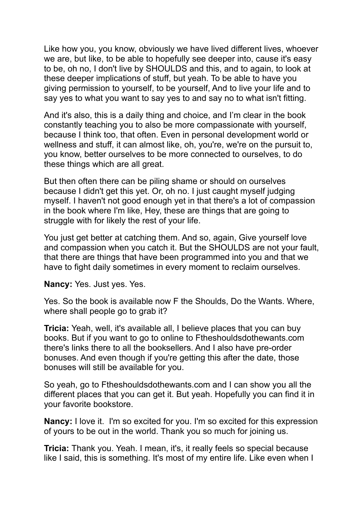Like how you, you know, obviously we have lived different lives, whoever we are, but like, to be able to hopefully see deeper into, cause it's easy to be, oh no, I don't live by SHOULDS and this, and to again, to look at these deeper implications of stuff, but yeah. To be able to have you giving permission to yourself, to be yourself, And to live your life and to say yes to what you want to say yes to and say no to what isn't fitting.

And it's also, this is a daily thing and choice, and I'm clear in the book constantly teaching you to also be more compassionate with yourself, because I think too, that often. Even in personal development world or wellness and stuff, it can almost like, oh, you're, we're on the pursuit to, you know, better ourselves to be more connected to ourselves, to do these things which are all great.

But then often there can be piling shame or should on ourselves because I didn't get this yet. Or, oh no. I just caught myself judging myself. I haven't not good enough yet in that there's a lot of compassion in the book where I'm like, Hey, these are things that are going to struggle with for likely the rest of your life.

You just get better at catching them. And so, again, Give yourself love and compassion when you catch it. But the SHOULDS are not your fault, that there are things that have been programmed into you and that we have to fight daily sometimes in every moment to reclaim ourselves.

**Nancy:** Yes. Just yes. Yes.

Yes. So the book is available now F the Shoulds, Do the Wants. Where, where shall people go to grab it?

**Tricia:** Yeah, well, it's available all, I believe places that you can buy books. But if you want to go to online to Ftheshouldsdothewants.com there's links there to all the booksellers. And I also have pre-order bonuses. And even though if you're getting this after the date, those bonuses will still be available for you.

So yeah, go to Ftheshouldsdothewants.com and I can show you all the different places that you can get it. But yeah. Hopefully you can find it in your favorite bookstore.

**Nancy:** I love it. I'm so excited for you. I'm so excited for this expression of yours to be out in the world. Thank you so much for joining us.

**Tricia:** Thank you. Yeah. I mean, it's, it really feels so special because like I said, this is something. It's most of my entire life. Like even when I